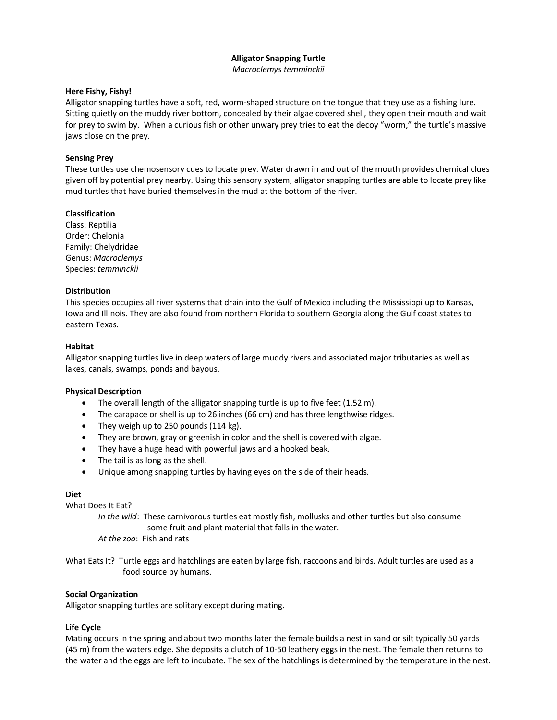# **Alligator Snapping Turtle**

*Macroclemys temminckii*

# **Here Fishy, Fishy!**

Alligator snapping turtles have a soft, red, worm-shaped structure on the tongue that they use as a fishing lure. Sitting quietly on the muddy river bottom, concealed by their algae covered shell, they open their mouth and wait for prey to swim by. When a curious fish or other unwary prey tries to eat the decoy "worm," the turtle's massive jaws close on the prey.

# **Sensing Prey**

These turtles use chemosensory cues to locate prey. Water drawn in and out of the mouth provides chemical clues given off by potential prey nearby. Using this sensory system, alligator snapping turtles are able to locate prey like mud turtles that have buried themselves in the mud at the bottom of the river.

# **Classification**

Class: Reptilia Order: Chelonia Family: Chelydridae Genus: *Macroclemys* Species: *temminckii*

# **Distribution**

This species occupies all river systems that drain into the Gulf of Mexico including the Mississippi up to Kansas, Iowa and Illinois. They are also found from northern Florida to southern Georgia along the Gulf coast states to eastern Texas.

# **Habitat**

Alligator snapping turtles live in deep waters of large muddy rivers and associated major tributaries as well as lakes, canals, swamps, ponds and bayous.

## **Physical Description**

- The overall length of the alligator snapping turtle is up to five feet (1.52 m).
- The carapace or shell is up to 26 inches (66 cm) and has three lengthwise ridges.
- They weigh up to 250 pounds (114 kg).
- They are brown, gray or greenish in color and the shell is covered with algae.
- They have a huge head with powerful jaws and a hooked beak.
- The tail is as long as the shell.
- Unique among snapping turtles by having eyes on the side of their heads.

# **Diet**

What Does It Eat?

*In the wild*: These carnivorous turtles eat mostly fish, mollusks and other turtles but also consume some fruit and plant material that falls in the water.

*At the zoo*: Fish and rats

What Eats It? Turtle eggs and hatchlings are eaten by large fish, raccoons and birds. Adult turtles are used as a food source by humans.

## **Social Organization**

Alligator snapping turtles are solitary except during mating.

# **Life Cycle**

Mating occurs in the spring and about two months later the female builds a nest in sand or silt typically 50 yards (45 m) from the waters edge. She deposits a clutch of 10-50 leathery eggs in the nest. The female then returns to the water and the eggs are left to incubate. The sex of the hatchlings is determined by the temperature in the nest.